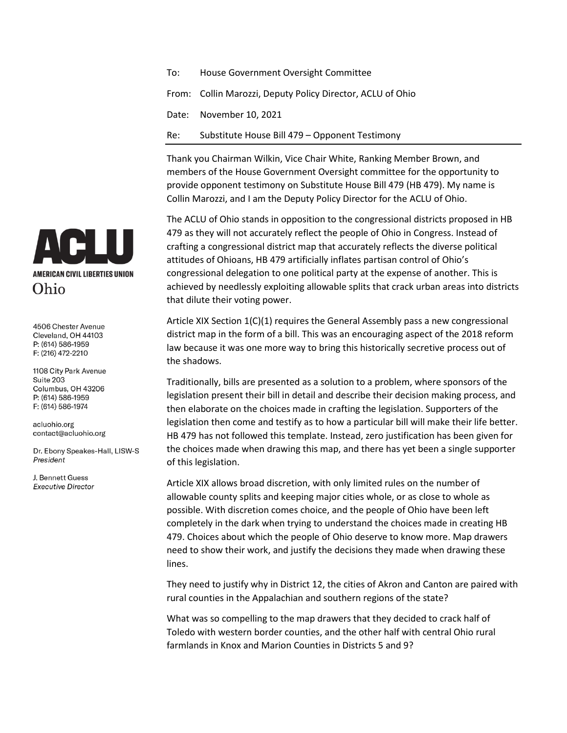| To: | House Government Oversight Committee                       |
|-----|------------------------------------------------------------|
|     | From: Collin Marozzi, Deputy Policy Director, ACLU of Ohio |
|     | Date: November 10, 2021                                    |
| Re: | Substitute House Bill 479 – Opponent Testimony             |

Thank you Chairman Wilkin, Vice Chair White, Ranking Member Brown, and members of the House Government Oversight committee for the opportunity to provide opponent testimony on Substitute House Bill 479 (HB 479). My name is Collin Marozzi, and I am the Deputy Policy Director for the ACLU of Ohio.

The ACLU of Ohio stands in opposition to the congressional districts proposed in HB 479 as they will not accurately reflect the people of Ohio in Congress. Instead of crafting a congressional district map that accurately reflects the diverse political attitudes of Ohioans, HB 479 artificially inflates partisan control of Ohio's congressional delegation to one political party at the expense of another. This is achieved by needlessly exploiting allowable splits that crack urban areas into districts that dilute their voting power.

Article XIX Section 1(C)(1) requires the General Assembly pass a new congressional district map in the form of a bill. This was an encouraging aspect of the 2018 reform law because it was one more way to bring this historically secretive process out of the shadows.

Traditionally, bills are presented as a solution to a problem, where sponsors of the legislation present their bill in detail and describe their decision making process, and then elaborate on the choices made in crafting the legislation. Supporters of the legislation then come and testify as to how a particular bill will make their life better. HB 479 has not followed this template. Instead, zero justification has been given for the choices made when drawing this map, and there has yet been a single supporter of this legislation.

Article XIX allows broad discretion, with only limited rules on the number of allowable county splits and keeping major cities whole, or as close to whole as possible. With discretion comes choice, and the people of Ohio have been left completely in the dark when trying to understand the choices made in creating HB 479. Choices about which the people of Ohio deserve to know more. Map drawers need to show their work, and justify the decisions they made when drawing these lines.

They need to justify why in District 12, the cities of Akron and Canton are paired with rural counties in the Appalachian and southern regions of the state?

What was so compelling to the map drawers that they decided to crack half of Toledo with western border counties, and the other half with central Ohio rural farmlands in Knox and Marion Counties in Districts 5 and 9?



4506 Chester Avenue Cleveland, OH 44103 P: (614) 586-1959 F: (216) 472-2210

1108 City Park Avenue Suite 203 Columbus, OH 43206 P: (614) 586-1959 F: (614) 586-1974

acluohio.org contact@acluohio.org

Dr. Ebony Speakes-Hall, LISW-S President

**I** Bennett Guess **Executive Director**